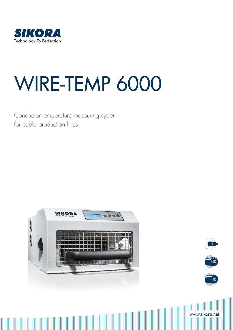

# WIRE-TEMP 6000

Conductor temperature measuring system for cable production lines





www.sikora.net